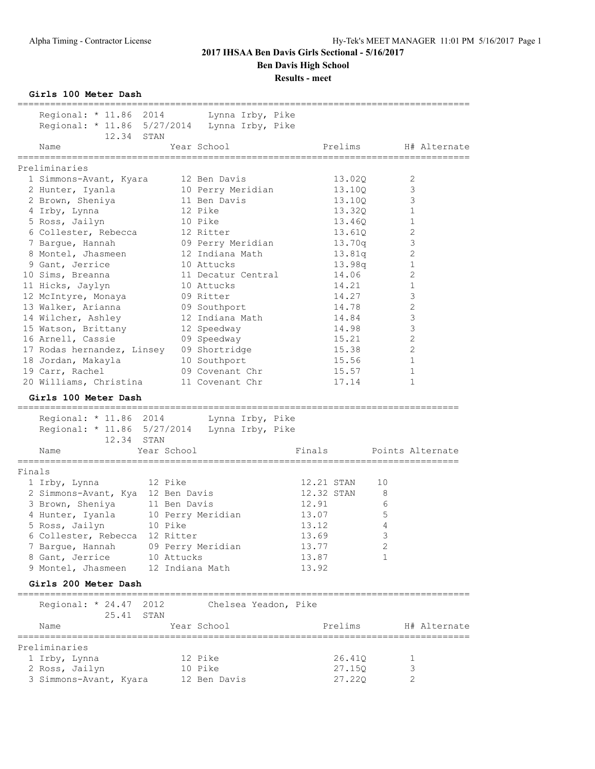**Results - meet**

**Girls 100 Meter Dash**

|        |                                                                                                                                                         | ================== |                      |        |            |    |                      |
|--------|---------------------------------------------------------------------------------------------------------------------------------------------------------|--------------------|----------------------|--------|------------|----|----------------------|
|        | Regional: * 11.86 2014 Lynna Irby, Pike                                                                                                                 |                    |                      |        |            |    |                      |
|        | Regional: * 11.86 5/27/2014 Lynna Irby, Pike                                                                                                            |                    |                      |        |            |    |                      |
|        | 12.34 STAN                                                                                                                                              |                    |                      |        |            |    |                      |
|        | Name                                                                                                                                                    |                    | Year School          |        |            |    | Prelims H# Alternate |
|        |                                                                                                                                                         |                    |                      |        |            |    |                      |
|        | Preliminaries                                                                                                                                           |                    |                      |        |            |    |                      |
|        | 1 Simmons-Avant, Kyara 12 Ben Davis                                                                                                                     |                    |                      |        | 13.02Q     |    | 2                    |
|        | 2 Hunter, Iyanla                                                                                                                                        |                    | 10 Perry Meridian    |        | 13.10Q     |    | 3                    |
|        | 2 Brown, Sheniya 11 Ben Davis                                                                                                                           |                    |                      |        | 13.10Q     |    | 3                    |
|        | 4 Irby, Lynna                                                                                                                                           |                    | 12 Pike              |        | 13.320     |    | $\mathbf{1}$         |
|        | 5 Ross, Jailyn                                                                                                                                          |                    | 10 Pike              |        | 13.46Q     |    | $\mathbf{1}$         |
|        | 6 Collester, Rebecca                                                                                                                                    |                    |                      |        | 13.61Q     |    | $\sqrt{2}$           |
|        | 7 Barque, Hannah                                                                                                                                        |                    |                      |        | 13.70q     |    | $\mathsf 3$          |
|        | 8 Montel, Jhasmeen 12 Indiana Math                                                                                                                      |                    |                      |        | 13.81q     |    | $\sqrt{2}$           |
|        |                                                                                                                                                         |                    |                      |        |            |    |                      |
|        | 9 Gant, Jerrice                                                                                                                                         |                    | 10 Attucks           |        | 13.98q     |    | $\mathbf{1}$         |
|        | 10 Sims, Breanna                                                                                                                                        |                    | 11 Decatur Central   |        | 14.06      |    | $\sqrt{2}$           |
|        | 11 Hicks, Jaylyn<br>11 Hicks, Jaylyn                 10 Attucks<br>12 McIntyre, Monaya           09 Ritter<br>13 Walker, Arianna           09 Southport |                    |                      |        | 14.21      |    | $1\,$                |
|        |                                                                                                                                                         |                    |                      |        | 14.27      |    | $\mathsf 3$          |
|        |                                                                                                                                                         |                    |                      |        | 14.78      |    | $\sqrt{2}$           |
|        | 14 Wilcher, Ashley 12 Indiana Math                                                                                                                      |                    |                      |        | 14.84      |    | $\mathsf 3$          |
|        | 15 Watson, Brittany 12 Speedway                                                                                                                         |                    |                      |        | 14.98      |    | $\mathsf 3$          |
|        | 16 Arnell, Cassie                                                                                                                                       |                    | 09 Speedway          |        | 15.21      |    | $\sqrt{2}$           |
|        | 17 Rodas hernandez, Linsey 09 Shortridge<br>18 Jordan, Makayla 10 Southport                                                                             |                    |                      |        | 15.38      |    | $\sqrt{2}$           |
|        |                                                                                                                                                         |                    |                      |        | 15.56      |    | 1                    |
|        | 19 Carr, Rachel                                                                                                                                         |                    | 09 Covenant Chr      |        | 15.57      |    | 1                    |
|        | 20 Williams, Christina 11 Covenant Chr                                                                                                                  |                    |                      |        | 17.14      |    | 1                    |
|        | Girls 100 Meter Dash<br>Regional: * 11.86 2014 Lynna Irby, Pike<br>Regional: * 11.86 5/27/2014 Lynna Irby, Pike<br>12.34 STAN<br>Name                   | Year School        |                      | Finals |            |    | Points Alternate     |
|        |                                                                                                                                                         |                    |                      |        |            |    |                      |
| Finals |                                                                                                                                                         |                    |                      |        |            |    |                      |
|        | 1 Irby, Lynna 12 Pike                                                                                                                                   |                    |                      |        | 12.21 STAN | 10 |                      |
|        | 2 Simmons-Avant, Kya 12 Ben Davis                                                                                                                       |                    |                      |        | 12.32 STAN | 8  |                      |
|        | 3 Brown, Sheniya 11 Ben Davis                                                                                                                           |                    |                      | 12.91  |            | 6  |                      |
|        | 4 Hunter, Iyanla 10 Perry Meridian                                                                                                                      |                    |                      | 13.07  |            | 5  |                      |
|        | 5 Ross, Jailyn 10 Pike                                                                                                                                  |                    |                      | 13.12  |            | 4  |                      |
|        | 6 Collester, Rebecca 12 Ritter                                                                                                                          |                    |                      | 13.69  |            | 3  |                      |
|        | 7 Bargue, Hannah                                                                                                                                        | 09 Perry Meridian  |                      | 13.77  |            | 2  |                      |
|        | 8 Gant, Jerrice 10 Attucks                                                                                                                              |                    |                      | 13.87  |            | 1  |                      |
|        | 9 Montel, Jhasmeen                                                                                                                                      | 12 Indiana Math    |                      | 13.92  |            |    |                      |
|        |                                                                                                                                                         |                    |                      |        |            |    |                      |
|        | Girls 200 Meter Dash                                                                                                                                    |                    |                      |        |            |    |                      |
|        | Regional: * 24.47 2012<br>25.41 STAN                                                                                                                    |                    | Chelsea Yeadon, Pike |        |            |    |                      |
|        | Name                                                                                                                                                    |                    | Year School          |        | Prelims    |    | H# Alternate         |
|        |                                                                                                                                                         |                    |                      |        |            |    |                      |
|        | Preliminaries                                                                                                                                           |                    |                      |        |            |    |                      |
|        | 1 Irby, Lynna                                                                                                                                           |                    | 12 Pike              |        | 26.41Q     |    | 1                    |
|        | 2 Ross, Jailyn                                                                                                                                          |                    | 10 Pike              |        | 27.15Q     |    | 3                    |
|        | 3 Simmons-Avant, Kyara                                                                                                                                  |                    | 12 Ben Davis         |        | 27.22Q     |    | 2                    |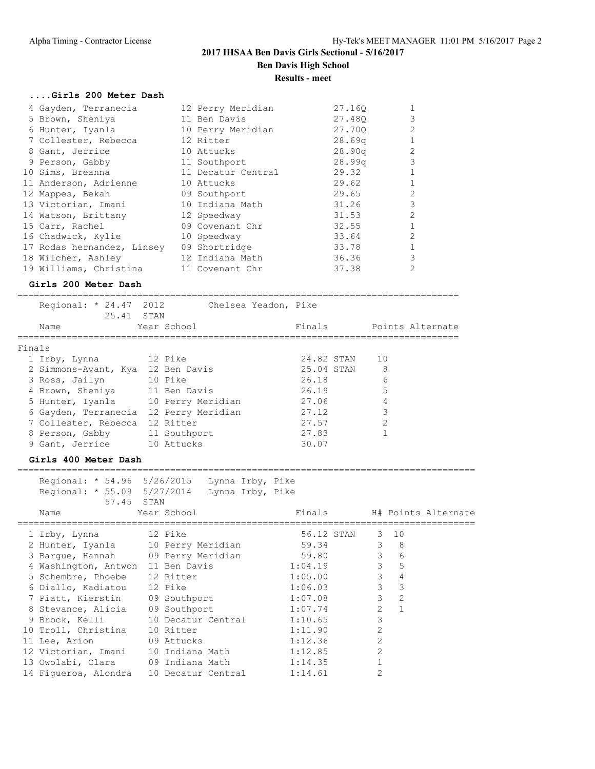#### **....Girls 200 Meter Dash**

| 4 Gayden, Terranecia                   | 12 Perry Meridian  | 27.160             | 1              |
|----------------------------------------|--------------------|--------------------|----------------|
| 5 Brown, Sheniya                       | 11 Ben Davis       | 27.480             | 3              |
| 6 Hunter, Iyanla                       | 10 Perry Meridian  | 27.700             | 2              |
| 7 Collester, Rebecca                   | 12 Ritter          | 28.69q             |                |
| 8 Gant, Jerrice                        | 10 Attucks         | 28.90q             | 2              |
| 9 Person, Gabby                        | 11 Southport       | 28.99 <sub>q</sub> | 3              |
| 10 Sims, Breanna                       | 11 Decatur Central | 29.32              |                |
| 11 Anderson, Adrienne                  | 10 Attucks         | 29.62              |                |
| 12 Mappes, Bekah                       | 09 Southport       | 29.65              | 2              |
| 13 Victorian, Imani                    | 10 Indiana Math    | 31.26              | 3              |
| 14 Watson, Brittany                    | 12 Speedway        | 31.53              | $\overline{2}$ |
| 15 Carr, Rachel                        | 09 Covenant Chr    | 32.55              |                |
| 16 Chadwick, Kylie                     | 10 Speedway        | 33.64              | $\overline{2}$ |
| 17 Rodas hernandez, Linsey             | 09 Shortridge      | 33.78              |                |
| 18 Wilcher, Ashley                     | 12 Indiana Math    | 36.36              | 3              |
| 19 Williams, Christina 11 Covenant Chr |                    | 37.38              | $\overline{2}$ |

#### **Girls 200 Meter Dash**

=================================================================================

|        | Regional: * 24.47 2012        | 25.41 STAN |                                    | Chelsea Yeadon, Pike |            |                |                  |
|--------|-------------------------------|------------|------------------------------------|----------------------|------------|----------------|------------------|
| Name   |                               |            | Year School                        |                      | Finals     |                | Points Alternate |
| Finals |                               |            |                                    |                      |            |                |                  |
|        | 1 Irby, Lynna                 |            | 12 Pike                            |                      | 24.82 STAN | 10             |                  |
|        | 2 Simmons-Avant, Kya          |            | 12 Ben Davis                       |                      | 25.04 STAN | 8              |                  |
|        | 3 Ross, Jailyn                |            | 10 Pike                            |                      | 26.18      | 6              |                  |
|        | 4 Brown, Sheniya 11 Ben Davis |            |                                    |                      | 26.19      | 5              |                  |
|        |                               |            | 5 Hunter, Iyanla 10 Perry Meridian |                      | 27.06      | 4              |                  |
|        | 6 Gayden, Terranecia          |            | 12 Perry Meridian                  |                      | 27.12      | 3              |                  |
|        | 7 Collester, Rebecca          |            | 12 Ritter                          |                      | 27.57      | $\overline{2}$ |                  |
|        | 8 Person, Gabby               |            | 11 Southport                       |                      | 27.83      |                |                  |
|        | 9 Gant, Jerrice               |            | 10 Attucks                         |                      | 30.07      |                |                  |

#### **Girls 400 Meter Dash**

==================================================================================== Regional: \* 54.96 5/26/2015 Lynna Irby, Pike Regional: \* 55.09 5/27/2014 Lynna Irby, Pike 57.45 STAN

|                                     | UITIN |                    |         |                           |                |                     |
|-------------------------------------|-------|--------------------|---------|---------------------------|----------------|---------------------|
| Name                                |       | Year School        | Finals  |                           |                | H# Points Alternate |
| 1 Irby, Lynna 12 Pike               |       |                    |         | 56.12 STAN 3 10           |                |                     |
| 2 Hunter, Iyanla 10 Perry Meridian  |       |                    |         | 59.34 3 8                 |                |                     |
| 3 Barque, Hannah 09 Perry Meridian  |       |                    |         | $\mathcal{S}$<br>59.80    | 6              |                     |
| 4 Washington, Antwon 11 Ben Davis   |       |                    |         | $1:04.19$ 3 5             |                |                     |
| 5 Schembre, Phoebe                  |       | 12 Ritter          |         | $\mathcal{E}$<br>1:05.00  | $\overline{4}$ |                     |
| 6 Diallo, Kadiatou                  |       | 12 Pike            |         | 3 <sup>7</sup><br>1:06.03 | 3              |                     |
| 7 Piatt, Kierstin 09 Southport      |       |                    | 1:07.08 | $\mathcal{E}$             | 2              |                     |
| 8 Stevance, Alicia 09 Southport     |       |                    | 1:07.74 | $\overline{2}$            | $\overline{1}$ |                     |
| 9 Brock, Kelli                      |       | 10 Decatur Central | 1:10.65 | 3                         |                |                     |
| 10 Troll, Christina                 |       | 10 Ritter          | 1:11.90 | $\overline{2}$            |                |                     |
| 11 Lee, Arion 69 Attucks            |       |                    | 1:12.36 | $\overline{2}$            |                |                     |
| 12 Victorian, Imani 10 Indiana Math |       |                    | 1:12.85 | $\overline{2}$            |                |                     |
| 13 Owolabi, Clara (19 Indiana Math) |       |                    | 1:14.35 |                           |                |                     |
| 14 Figueroa, Alondra                |       | 10 Decatur Central | 1:14.61 | $\overline{2}$            |                |                     |
|                                     |       |                    |         |                           |                |                     |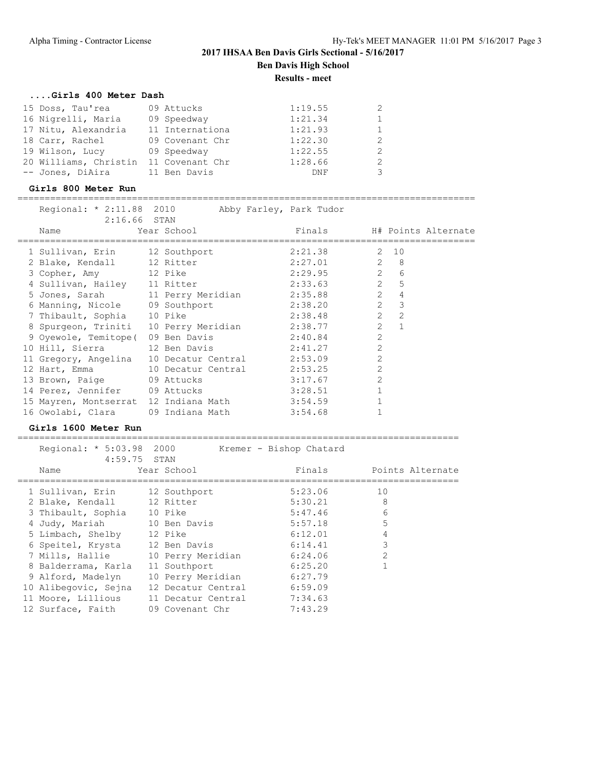## **....Girls 400 Meter Dash**

| 15 Doss, Tau'rea      | 09 Attucks      | 1:19.55 |  |
|-----------------------|-----------------|---------|--|
| 16 Nigrelli, Maria    | 09 Speedway     | 1:21.34 |  |
| 17 Nitu, Alexandria   | 11 Internationa | 1:21.93 |  |
| 18 Carr, Rachel       | 09 Covenant Chr | 1:22.30 |  |
| 19 Wilson, Lucy       | 09 Speedway     | 1:22.55 |  |
| 20 Williams, Christin | 11 Covenant Chr | 1:28.66 |  |
| -- Jones, DiAira      | 11 Ben Davis    | DNF     |  |

### **Girls 800 Meter Run**

====================================================================================

| Regional: * 2:11.88 2010<br>$2:16.66$ STAN |             | Abby Farley, Park Tudor                       |                |                |  |
|--------------------------------------------|-------------|-----------------------------------------------|----------------|----------------|--|
| Name                                       | Year School | Finals Finals H# Points Alternate             |                |                |  |
| 1 Sullivan, Erin 12 Southport              |             | 2 10<br>2:21.38                               |                |                |  |
| 2 Blake, Kendall 12 Ritter                 |             | $2:27.01$ 2 8                                 |                |                |  |
| 3 Copher, Amy 12 Pike                      |             | $2:29.95$ 2 6                                 |                |                |  |
| 4 Sullivan, Hailey 11 Ritter               |             | $\overline{2}$<br>2:33.63                     |                | 5              |  |
| 5 Jones, Sarah 11 Perry Meridian           |             | 2:35.88                                       | 2              | $\overline{4}$ |  |
| 6 Manning, Nicole 09 Southport             |             | 2:38.20                                       | $2^{\circ}$    | $\mathbf{3}$   |  |
| 7 Thibault, Sophia 10 Pike                 |             | $\overline{2}$<br>2:38.48                     |                | 2              |  |
|                                            |             | 8 Spurgeon, Triniti 10 Perry Meridian 2:38.77 |                | $2 \quad 1$    |  |
| 9 Oyewole, Temitope ( 09 Ben Davis 2:40.84 |             |                                               | $\overline{2}$ |                |  |
| 10 Hill, Sierra 12 Ben Davis 2:41.27       |             |                                               | $\overline{2}$ |                |  |
| 11 Gregory, Angelina 10 Decatur Central    |             | 2:53.09                                       | $\overline{2}$ |                |  |
| 12 Hart, Emma 10 Decatur Central           |             | 2:53.25                                       | $\overline{2}$ |                |  |
| 13 Brown, Paige 09 Attucks                 |             | 3:17.67                                       | $\mathfrak{D}$ |                |  |
| 14 Perez, Jennifer 09 Attucks              |             | 3:28.51                                       |                |                |  |
| 15 Mayren, Montserrat 12 Indiana Math      |             | 3:54.59                                       |                |                |  |
| 16 Owolabi, Clara (09 Indiana Math)        |             | 3:54.68                                       |                |                |  |

### **Girls 1600 Meter Run**

| Regional: * 5:03.98 2000<br>$4:59.75$ STAN |                    | Kremer - Bishop Chatard |                  |
|--------------------------------------------|--------------------|-------------------------|------------------|
| Name                                       | Year School        | Finals                  | Points Alternate |
| 1 Sullivan, Erin                           | 12 Southport       | 5:23.06                 | 10               |
| 2 Blake, Kendall                           | 12 Ritter          | 5:30.21                 | 8                |
| 3 Thibault, Sophia                         | 10 Pike            | 5:47.46                 | 6                |
| 4 Judy, Mariah                             | 10 Ben Davis       | 5:57.18                 | 5                |
| 5 Limbach, Shelby                          | 12 Pike            | 6:12.01                 |                  |
| 6 Speitel, Krysta                          | 12 Ben Davis       | 6:14.41                 | 3                |
| 7 Mills, Hallie                            | 10 Perry Meridian  | 6:24.06                 | $\overline{2}$   |
| 8 Balderrama, Karla                        | 11 Southport       | 6:25.20                 |                  |
| 9 Alford, Madelyn                          | 10 Perry Meridian  | 6:27.79                 |                  |
| 10 Alibegovic, Sejna                       | 12 Decatur Central | 6:59.09                 |                  |
| 11 Moore, Lillious                         | 11 Decatur Central | 7:34.63                 |                  |
| 12 Surface, Faith                          | 09 Covenant Chr    | 7:43.29                 |                  |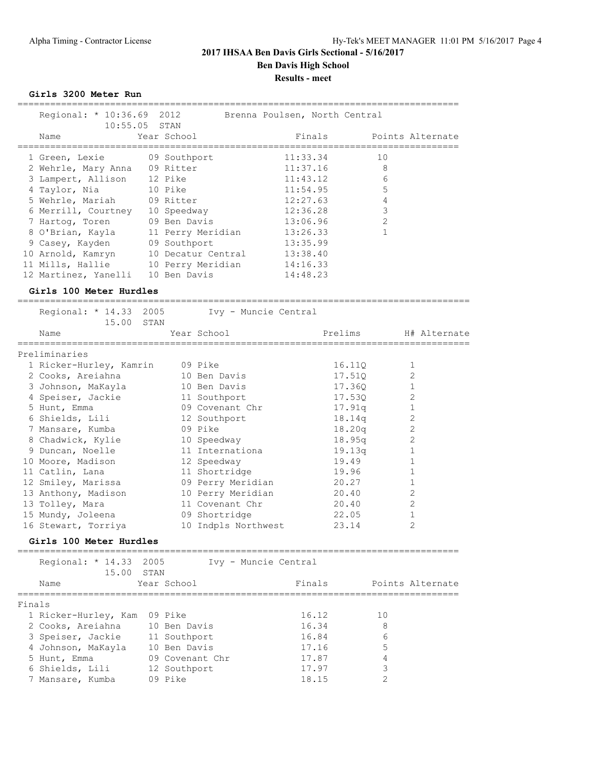**Girls 3200 Meter Run**

|        | Regional: * 10:36.69 2012                                       |                                                       | Brenna Poulsen, North Central |                                      |
|--------|-----------------------------------------------------------------|-------------------------------------------------------|-------------------------------|--------------------------------------|
|        | Name<br>,,,,,,,,,,,,,,,,                                        | 10:55.05 STAN<br>Year School<br>--------------------- | Finals<br>============        | Points Alternate<br>================ |
|        | 1 Green, Lexie                                                  | 09 Southport                                          | 11:33.34                      | 10                                   |
|        | 2 Wehrle, Mary Anna                                             | 09 Ritter                                             | 11:37.16                      | 8                                    |
|        | 3 Lampert, Allison                                              | 12 Pike                                               | 11:43.12                      | 6                                    |
|        | 4 Taylor, Nia                                                   | 10 Pike                                               | 11:54.95                      | 5                                    |
|        | 5 Wehrle, Mariah 09 Ritter                                      |                                                       | 12:27.63                      | 4                                    |
|        | 6 Merrill, Courtney 10 Speedway<br>7 Hartog, Toren 09 Ben Davis |                                                       | 12:36.28                      | $\mathsf 3$                          |
|        | 7 Hartog, Toren                                                 |                                                       | 13:06.96                      | 2                                    |
|        | 8 O'Brian, Kayla                                                | 11 Perry Meridian                                     | 13:26.33                      | $\mathbf{1}$                         |
|        | 9 Casey, Kayden                                                 | 09 Southport                                          | 13:35.99                      |                                      |
|        | 10 Arnold, Kamryn                                               | 10 Decatur Central                                    | 13:38.40                      |                                      |
|        |                                                                 | 11 Mills, Hallie 10 Perry Meridian                    | 14:16.33                      |                                      |
|        | 12 Martinez, Yanelli                                            | 10 Ben Davis                                          | 14:48.23                      |                                      |
|        | Girls 100 Meter Hurdles                                         |                                                       |                               |                                      |
|        | Regional: * 14.33 2005<br>15.00                                 | Ivy - Muncie Central<br>STAN                          |                               |                                      |
|        | Name<br>___________________                                     | Year School                                           | Prelims                       | H# Alternate                         |
|        | Preliminaries                                                   |                                                       |                               |                                      |
|        | 1 Ricker-Hurley, Kamrin                                         | 09 Pike                                               | 16.110                        | 1                                    |
|        | 2 Cooks, Areiahna                                               | 10 Ben Davis                                          | 17.51Q                        | 2                                    |
|        | 3 Johnson, MaKayla                                              | 10 Ben Davis                                          | 17.36Q                        | $\mathbf{1}$                         |
|        | 4 Speiser, Jackie                                               | 11 Southport                                          | 17.53Q                        | 2                                    |
|        | 5 Hunt, Emma                                                    | 09 Covenant Chr                                       | 17.91q                        | $\mathbf{1}$                         |
|        | 6 Shields, Lili                                                 | 12 Southport                                          | 18.14q                        | 2                                    |
|        | 7 Mansare, Kumba                                                | 09 Pike                                               | 18.20q                        | 2                                    |
|        | 8 Chadwick, Kylie                                               | 10 Speedway                                           | 18.95q                        | $\mathbf{2}$                         |
|        | 9 Duncan, Noelle                                                | 11 Internationa                                       | 19.13q                        | $\mathbf{1}$                         |
|        | 10 Moore, Madison                                               | 12 Speedway                                           | 19.49                         | $\mathbf{1}$                         |
|        | 11 Catlin, Lana                                                 | 11 Shortridge                                         | 19.96                         | 1                                    |
|        | 12 Smiley, Marissa                                              | 09 Perry Meridian                                     | 20.27                         | 1                                    |
|        | 13 Anthony, Madison                                             | 10 Perry Meridian                                     | 20.40                         | 2                                    |
|        | 13 Tolley, Mara                                                 | 11 Covenant Chr                                       | 20.40                         | 2                                    |
|        | 15 Mundy, Joleena                                               | 09 Shortridge                                         | 22.05                         | $\mathbf{1}$                         |
|        | 16 Stewart, Torriya                                             | 10 Indpls Northwest                                   | 23.14                         | 2                                    |
|        | Girls 100 Meter Hurdles                                         |                                                       |                               |                                      |
|        | --------==================<br>Regional: * 14.33                 | 2005<br>Ivy - Muncie Central                          |                               |                                      |
|        | 15.00<br>Name                                                   | STAN<br>Year School                                   | Finals                        | Points Alternate                     |
|        | ================                                                |                                                       |                               |                                      |
| Finals |                                                                 |                                                       |                               |                                      |
|        | 1 Ricker-Hurley, Kam                                            | 09 Pike                                               | 16.12                         | 10                                   |
|        | 2 Cooks, Areiahna                                               | 10 Ben Davis                                          | 16.34                         | 8                                    |
|        | 3 Speiser, Jackie                                               | 11 Southport                                          | 16.84                         | 6                                    |
|        | 4 Johnson, MaKayla                                              | 10 Ben Davis                                          | 17.16                         | 5                                    |
|        | 5 Hunt, Emma                                                    | 09 Covenant Chr                                       | 17.87                         | 4                                    |
|        | 6 Shields, Lili                                                 | 12 Southport<br>09 Pike                               | 17.97                         | 3<br>2                               |
|        | 7 Mansare, Kumba                                                |                                                       | 18.15                         |                                      |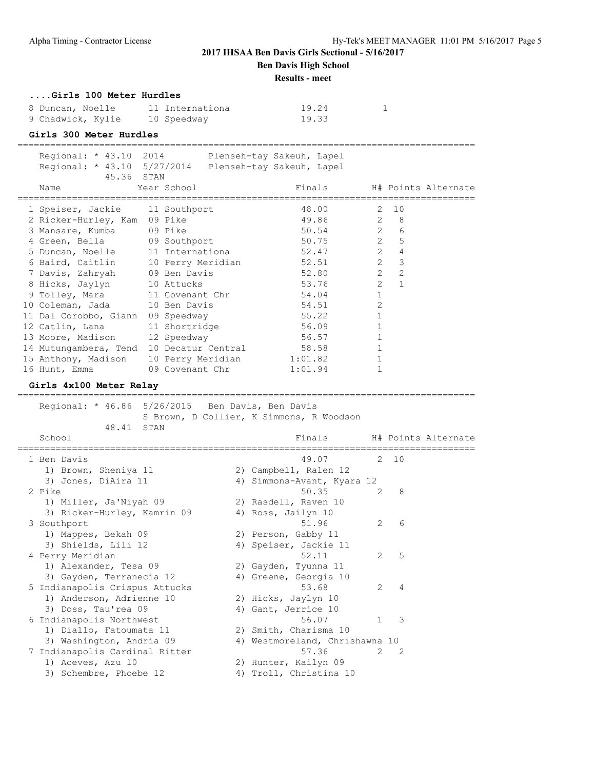**Ben Davis High School**

**Results - meet**

#### **....Girls 100 Meter Hurdles**

| 8 Duncan, Noelle  | 11 Internationa | 19.24 |
|-------------------|-----------------|-------|
| 9 Chadwick, Kylie | 10 Speedway     | 19.33 |

#### **Girls 300 Meter Hurdles**

====================================================================================

| Regional: * 43.10 2014 Plenseh-tay Sakeuh, Lapel      |             |         |                            |                                           |  |
|-------------------------------------------------------|-------------|---------|----------------------------|-------------------------------------------|--|
| Regional: * 43.10 5/27/2014 Plenseh-tay Sakeuh, Lapel |             |         |                            |                                           |  |
| 45.36 STAN                                            |             |         |                            |                                           |  |
| Name                                                  | Year School |         | Finals H# Points Alternate |                                           |  |
|                                                       |             |         |                            |                                           |  |
| 1 Speiser, Jackie 11 Southport                        |             |         | 48.00                      | 2 10                                      |  |
| 2 Ricker-Hurley, Kam 09 Pike                          |             |         | 49.86 2 8                  |                                           |  |
| 3 Mansare, Kumba 09 Pike                              |             |         | 50.54 2                    | 6                                         |  |
| 4 Green, Bella 09 Southport                           |             |         | 50.75                      | $\overline{2}$<br>5                       |  |
| 5 Duncan, Noelle 11 Internationa                      |             |         | 52.47                      | $\overline{2}$<br>$\overline{4}$          |  |
| 6 Baird, Caitlin 10 Perry Meridian                    |             |         | 52.51                      | $\overline{2}$<br>$\overline{\mathbf{3}}$ |  |
| 7 Davis, Zahryah 09 Ben Davis                         |             |         | 52.80                      | $\overline{2}$<br>$\overline{2}$          |  |
| 8 Hicks, Jaylyn 10 Attucks                            |             |         | 53.76                      | $\overline{2}$<br>$\overline{1}$          |  |
| 9 Tolley, Mara 11 Covenant Chr                        |             |         | 54.04                      | $\mathbf{1}$                              |  |
| 10 Coleman, Jada 10 Ben Davis                         |             |         | 54.51                      | $\overline{2}$                            |  |
| 11 Dal Corobbo, Giann 09 Speedway                     |             |         | 55.22                      |                                           |  |
| 12 Catlin, Lana 11 Shortridge                         |             |         | 56.09                      |                                           |  |
| 13 Moore, Madison 12 Speedway                         |             |         | 56.57                      |                                           |  |
| 14 Mutungambera, Tend 10 Decatur Central 58.58        |             |         |                            |                                           |  |
| 15 Anthony, Madison 10 Perry Meridian                 |             | 1:01.82 |                            |                                           |  |
| 16 Hunt, Emma 09 Covenant Chr                         |             | 1:01.94 |                            |                                           |  |
|                                                       |             |         |                            |                                           |  |

### **Girls 4x100 Meter Relay**

==================================================================================== Regional: \* 46.86 5/26/2015 Ben Davis, Ben Davis S Brown, D Collier, K Simmons, R Woodson 48.41 STAN School **Finals** H# Points Alternate ==================================================================================== 1 Ben Davis 49.07 2 10 1) Brown, Sheniya 11 2) Campbell, Ralen 12<br>3) Jones, DiAira 11 3) 29 Simmons-Avant, Kyara 12 3) Jones, DiAira 11 4) Simmons-Avant, Kyara 12 2 Pike 50.35 2 8 1) Miller, Ja'Niyah 09 2) Rasdell, Raven 10 3) Ricker-Hurley, Kamrin 09  $\hskip1cm 4)$  Ross, Jailyn 10 3 Southport 51.96 2 6 1) Mappes, Bekah 09 2) Person, Gabby 11 3) Shields, Lili 12 4) Speiser, Jackie 11 4 Perry Meridian 2 2 S 1) Alexander, Tesa 09 2) Gayden, Tyunna 11 3) Gayden, Terranecia 12 4) Greene, Georgia 10 5 Indianapolis Crispus Attucks 53.68 2 4 1) Anderson, Adrienne 10 2) Hicks, Jaylyn 10 3) Doss, Tau'rea 09 (4) Gant, Jerrice 10 6 Indianapolis Northwest 56.07 1 3 1) Diallo, Fatoumata 11 2) Smith, Charisma 10 3) Washington, Andria 09 4) Westmoreland, Chrishawna 10 7 Indianapolis Cardinal Ritter 57.36 2 2 1) Aceves, Azu 10 2) Hunter, Kailyn 09 3) Schembre, Phoebe 12 4) Troll, Christina 10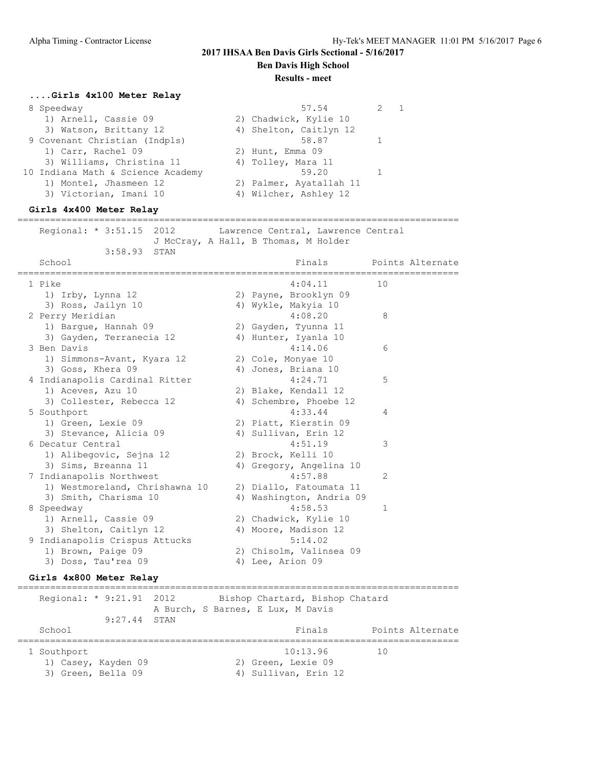**Ben Davis High School**

#### **Results - meet**

### **....Girls 4x100 Meter Relay**

| 8 Speedway                        | 57.54                   |  |
|-----------------------------------|-------------------------|--|
| 1) Arnell, Cassie 09              | 2) Chadwick, Kylie 10   |  |
| 3) Watson, Brittany 12            | 4) Shelton, Caitlyn 12  |  |
| 9 Covenant Christian (Indpls)     | 58.87                   |  |
| 1) Carr, Rachel 09                | 2) Hunt, Emma 09        |  |
| 3) Williams, Christina 11         | 4) Tolley, Mara 11      |  |
| 10 Indiana Math & Science Academy | 59.20                   |  |
| 1) Montel, Jhasmeen 12            | 2) Palmer, Ayatallah 11 |  |
| 3) Victorian, Imani 10            | 4) Wilcher, Ashley 12   |  |
|                                   |                         |  |

### **Girls 4x400 Meter Relay**

================================================================================= Regional: \* 3:51.15 2012 Lawrence Central, Lawrence Central

 J McCray, A Hall, B Thomas, M Holder 3:58.93 STAN

| School                            | Finals                   | Points Alternate<br>,,,,,,,,,,,,,,,,,, |
|-----------------------------------|--------------------------|----------------------------------------|
| 1 Pike                            | 4:04.11                  | 10                                     |
| 1) Irby, Lynna 12                 | 2) Payne, Brooklyn 09    |                                        |
| 3) Ross, Jailyn 10                | 4) Wykle, Makyia 10      |                                        |
| 2 Perry Meridian                  | 4:08.20                  | 8                                      |
| 1) Bargue, Hannah 09              | 2) Gayden, Tyunna 11     |                                        |
| 3) Gayden, Terranecia 12          | 4) Hunter, Iyanla 10     |                                        |
| 3 Ben Davis                       | 4:14.06                  | 6                                      |
| 1) Simmons-Avant, Kyara 12        | 2) Cole, Monyae 10       |                                        |
| 3) Goss, Khera 09                 | 4) Jones, Briana 10      |                                        |
| 4 Indianapolis Cardinal Ritter    | 4:24.71                  | 5                                      |
| 1) Aceves, Azu 10                 | 2) Blake, Kendall 12     |                                        |
| 3) Collester, Rebecca 12          | 4) Schembre, Phoebe 12   |                                        |
| 5 Southport                       | 4:33.44                  | 4                                      |
| 1) Green, Lexie 09                | 2) Piatt, Kierstin 09    |                                        |
| 3) Stevance, Alicia 09            | 4) Sullivan, Erin 12     |                                        |
| 6 Decatur Central                 | 4:51.19                  | 3                                      |
| 1) Alibegovic, Sejna 12           | 2) Brock, Kelli 10       |                                        |
| 3) Sims, Breanna 11               | 4) Gregory, Angelina 10  |                                        |
| 7 Indianapolis Northwest          | 4:57.88                  | 2                                      |
| 1) Westmoreland, Chrishawna 10    | 2) Diallo, Fatoumata 11  |                                        |
| 3) Smith, Charisma 10             | 4) Washington, Andria 09 |                                        |
| 8 Speedway                        | 4:58.53                  | 1                                      |
| 1) Arnell, Cassie 09              | 2) Chadwick, Kylie 10    |                                        |
| 3) Shelton, Caitlyn 12            | 4) Moore, Madison 12     |                                        |
| Indianapolis Crispus Attucks<br>9 | 5:14.02                  |                                        |
| 1) Brown, Paige 09                | 2) Chisolm, Valinsea 09  |                                        |
| 3) Doss, Tau'rea 09               | 4) Lee, Arion 09         |                                        |

#### **Girls 4x800 Meter Relay**

================================================================================= Regional: \* 9:21.91 2012 Bishop Chartard, Bishop Chatard A Burch, S Barnes, E Lux, M Davis 9:27.44 STAN Finals Points Alternate ================================================================================= 1 Southport 10:13.96 10 1) Casey, Kayden 09 2) Green, Lexie 09 3) Green, Bella 09 (4) Sullivan, Erin 12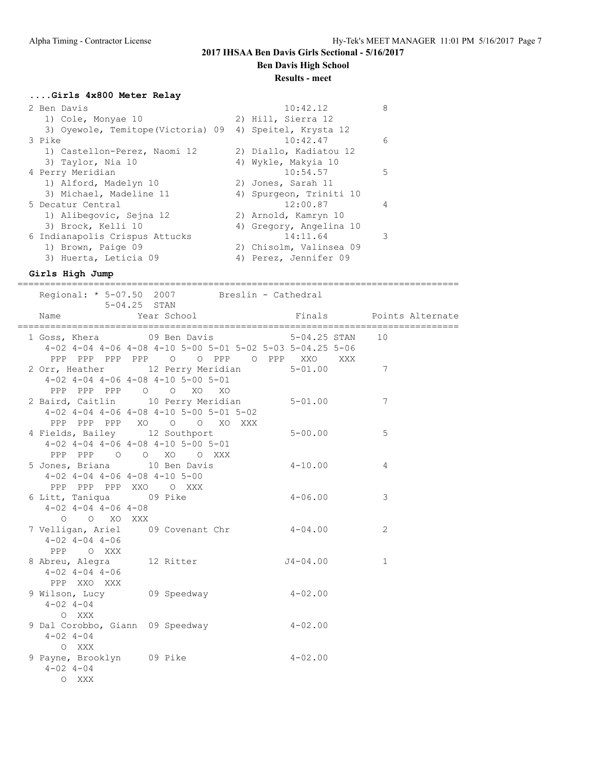**Ben Davis High School**

#### **Results - meet**

#### **....Girls 4x800 Meter Relay**

| 2 Ben Davis                        | 10:42.12                | 8  |
|------------------------------------|-------------------------|----|
| 1) Cole, Monyae 10                 | 2) Hill, Sierra 12      |    |
| 3) Oyewole, Temitope (Victoria) 09 | 4) Speitel, Krysta 12   |    |
| 3 Pike                             | 10:42.47                | 6  |
| 1) Castellon-Perez, Naomi 12       | 2) Diallo, Kadiatou 12  |    |
| 3) Taylor, Nia 10                  | 4) Wykle, Makyia 10     |    |
| 4 Perry Meridian                   | 10:54.57                | .5 |
| 1) Alford, Madelyn 10              | 2) Jones, Sarah 11      |    |
| 3) Michael, Madeline 11            | 4) Spurgeon, Triniti 10 |    |
| 5 Decatur Central                  | 12:00.87                | 4  |
| 1) Alibegovic, Sejna 12            | 2) Arnold, Kamryn 10    |    |
| 3) Brock, Kelli 10                 | 4) Gregory, Angelina 10 |    |
| 6 Indianapolis Crispus Attucks     | 14:11.64                | 3  |
| 1) Brown, Paige 09                 | 2) Chisolm, Valinsea 09 |    |
| 3) Huerta, Leticia 09              | 4) Perez, Jennifer 09   |    |
|                                    |                         |    |

#### **Girls High Jump**

Regional: \* 5-07.50 2007 Breslin - Cathedral 5-04.25 STAN Name South School Pinals Points Alternate ================================================================================= 1 Goss, Khera 69 Ben Davis 6-04.25 STAN 10 4-02 4-04 4-06 4-08 4-10 5-00 5-01 5-02 5-03 5-04.25 5-06 PPP PPP PPP PPP O O PPP O PPP XXO XXX 2 Orr, Heather 12 Perry Meridian 5-01.00 7 4-02 4-04 4-06 4-08 4-10 5-00 5-01 PPP PPP PPP O O XO XO 2 Baird, Caitlin 10 Perry Meridian 5-01.00 7 4-02 4-04 4-06 4-08 4-10 5-00 5-01 5-02 PPP PPP PPP XO O O XO XXX 4 Fields, Bailey 12 Southport 5-00.00 5 4-02 4-04 4-06 4-08 4-10 5-00 5-01 PPP PPP O O XO O XXX 5 Jones, Briana 10 Ben Davis 4-10.00 4 4-02 4-04 4-06 4-08 4-10 5-00 PPP PPP PPP XXO O XXX PPP PPP PPP XAU U AAA<br>6 Litt, Taniqua 09 Pike 4-06.00 3 4-02 4-04 4-06 4-08 O O XO XXX 7 Velligan, Ariel 09 Covenant Chr 4-04.00 2 4-02 4-04 4-06 PPP O XXX 8 Abreu, Alegra 12 Ritter 54-04.00 1 4-02 4-04 4-06 PPP XXO XXX 9 Wilson, Lucy 09 Speedway 4-02.00 4-02 4-04 O XXX 9 Dal Corobbo, Giann 09 Speedway 4-02.00  $4-02$   $4-04$  O XXX 9 Payne, Brooklyn 09 Pike 4-02.00 4-02 4-04 O XXX

=================================================================================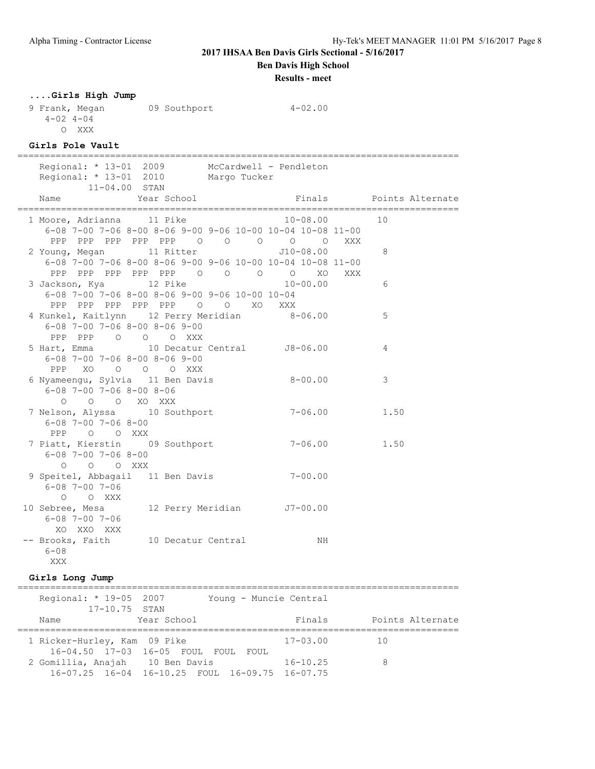**Ben Davis High School**

**Results - meet**

### **....Girls High Jump**

9 Frank, Megan 09 Southport 4-02.00 4-02 4-04 O XXX

### **Girls Pole Vault**

| =============                                                                                             |             |                         |  |
|-----------------------------------------------------------------------------------------------------------|-------------|-------------------------|--|
| Regional: * 13-01 2009 McCardwell - Pendleton<br>Regional: * 13-01 2010 Margo Tucker<br>$11 - 04.00$ STAN |             |                         |  |
| Year School<br>Name                                                                                       |             | Finals Points Alternate |  |
| 1 Moore, Adrianna 11 Pike 10-08.00                                                                        |             | 10                      |  |
| $6-08$ 7-00 7-06 8-00 8-06 9-00 9-06 10-00 10-04 10-08 11-00                                              |             |                         |  |
| PPP PPP PPP PPP PPP 0 0 0 0 0 XXX<br>2 Young, Megan 11 Ritter 510-08.00                                   |             | 8                       |  |
| $6-08$ 7-00 7-06 8-00 8-06 9-00 9-06 10-00 10-04 10-08 11-00                                              |             |                         |  |
| PPP PPP PPP PPP PPP 0 0 0 0 0 XO XXX                                                                      |             |                         |  |
| 3 Jackson, Kya 12 Pike 10-00.00                                                                           |             | 6                       |  |
| 6-08 7-00 7-06 8-00 8-06 9-00 9-06 10-00 10-04                                                            |             |                         |  |
| PPP PPP PPP PPP PPP 0 0 XO XXX<br>4 Kunkel, Kaitlynn 12 Perry Meridian 8-06.00                            |             | 5                       |  |
| $6-08$ 7-00 7-06 8-00 8-06 9-00                                                                           |             |                         |  |
| PPP PPP 0 0 0 XXX                                                                                         |             |                         |  |
| 5 Hart, Emma 10 Decatur Central 58-06.00                                                                  |             | 4                       |  |
| $6 - 08$ 7-00 7-06 8-00 8-06 9-00                                                                         |             |                         |  |
| PPP XO O O O XXX                                                                                          |             |                         |  |
| 6 Nyameengu, Sylvia 11 Ben Davis 6-00.00<br>$6 - 08$ 7-00 7-06 8-00 8-06                                  |             | 3                       |  |
| O O O XO XXX                                                                                              |             |                         |  |
| 7 Nelson, Alyssa 10 Southport                                                                             |             | $7 - 06.00$ 1.50        |  |
| $6 - 08$ 7-00 7-06 8-00                                                                                   |             |                         |  |
| PPP 0 0 XXX                                                                                               |             |                         |  |
| 7 Piatt, Kierstin 09 Southport                                                                            |             | $7 - 06.00$ 1.50        |  |
| $6 - 08$ 7-00 7-06 8-00<br>O O O XXX                                                                      |             |                         |  |
| 9 Speitel, Abbagail 11 Ben Davis                                                                          | $7 - 00.00$ |                         |  |
| $6 - 08$ 7-00 7-06                                                                                        |             |                         |  |
| O O XXX                                                                                                   |             |                         |  |
| 10 Sebree, Mesa 12 Perry Meridian J7-00.00                                                                |             |                         |  |
| 6-08 7-00 7-06                                                                                            |             |                         |  |
| XO XXO XXX                                                                                                |             |                         |  |
| -- Brooks, Faith 10 Decatur Central<br>$6 - 08$                                                           | NH          |                         |  |
| XXX                                                                                                       |             |                         |  |
|                                                                                                           |             |                         |  |

#### **Girls Long Jump**

================================================================================= Regional: \* 19-05 2007 Young - Muncie Central 17-10.75 STAN Name Year School Finals Points Alternate ================================================================================= 1 Ricker-Hurley, Kam 09 Pike 17-03.00 10 16-04.50 17-03 16-05 FOUL FOUL FOUL 2 Gomillia, Anajah 10 Ben Davis 16-10.25 8 16-07.25 16-04 16-10.25 FOUL 16-09.75 16-07.75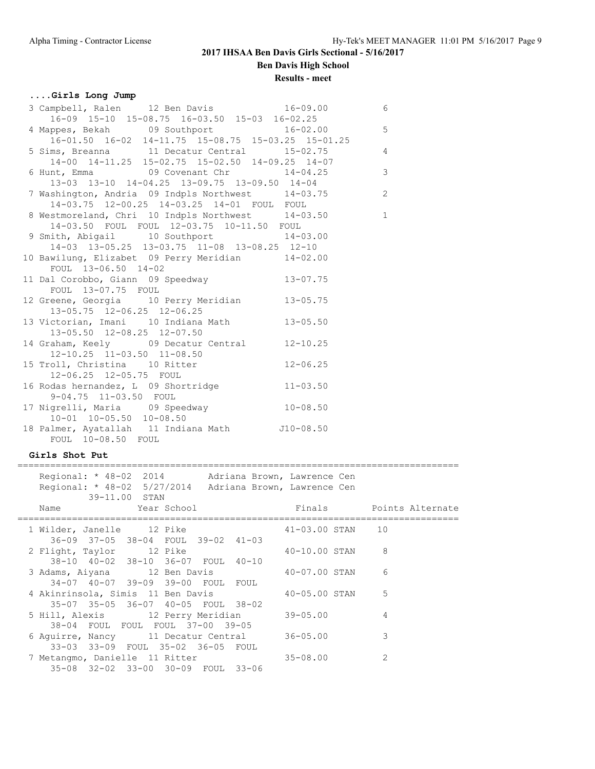## **....Girls Long Jump**

| 3 Campbell, Ralen 12 Ben Davis 16-09.00                                                                         | $6\overline{6}$         |
|-----------------------------------------------------------------------------------------------------------------|-------------------------|
| $16-09$ 15-10 15-08.75 16-03.50 15-03 16-02.25                                                                  |                         |
| 4 Mappes, Bekah 09 Southport 16-02.00                                                                           | $5^{\circ}$             |
| $16-01.50$ $16-02$ $14-11.75$ $15-08.75$ $15-03.25$ $15-01.25$                                                  | $\frac{5}{4}$           |
| 5 Sims, Breanna 11 Decatur Central 15-02.75                                                                     |                         |
| 14-00 14-11.25 15-02.75 15-02.50 14-09.25 14-07                                                                 |                         |
| 6 Hunt, Emma 69 Covenant Chr 14-04.25                                                                           | $\overline{\mathbf{3}}$ |
| 13-03 13-10 14-04.25 13-09.75 13-09.50 14-04                                                                    |                         |
| 7 Washington, Andria 09 Indpls Northwest 14-03.75 2                                                             |                         |
| 14-03.75 12-00.25 14-03.25 14-01 FOUL FOUL                                                                      |                         |
| $14-03.75$ $12-00.25$ $14-03.25$ $14-01$ $100L$ $100L$<br>8 Westmoreland, Chri 10 Indpls Northwest $14-03.50$ 1 |                         |
| 14-03.50 FOUL FOUL 12-03.75 10-11.50 FOUL                                                                       |                         |
| 9 Smith, Abigail 10 Southport 14-03.00                                                                          |                         |
| 14-03 13-05.25 13-03.75 11-08 13-08.25 12-10                                                                    |                         |
| 10 Bawilung, Elizabet 09 Perry Meridian 14-02.00                                                                |                         |
| FOUL 13-06.50 14-02                                                                                             |                         |
| 11 Dal Corobbo, Giann 09 Speedway 13-07.75                                                                      |                         |
| FOUL 13-07.75 FOUL                                                                                              |                         |
| 12 Greene, Georgia 10 Perry Meridian 13-05.75                                                                   |                         |
| 13-05.75 12-06.25 12-06.25                                                                                      |                         |
| 13 Victorian, Imani 10 Indiana Math 13-05.50                                                                    |                         |
| 13-05.50 12-08.25 12-07.50                                                                                      |                         |
| 14 Graham, Keely 09 Decatur Central 12-10.25                                                                    |                         |
|                                                                                                                 |                         |
| 12-10.25 11-03.50 11-08.50<br>15 Troll, Christina 10 Ritter 12-06.25                                            |                         |
| 12-06.25 12-05.75 FOUL                                                                                          |                         |
| 16 Rodas hernandez, L 09 Shortridge 11-03.50                                                                    |                         |
| 9-04.75 11-03.50 FOUL                                                                                           |                         |
| 17 Nigrelli, Maria 09 Speedway 10-08.50                                                                         |                         |
| $10-01$ $10-05.50$ $10-08.50$                                                                                   |                         |
| 18 Palmer, Ayatallah 11 Indiana Math J10-08.50                                                                  |                         |
| FOUL 10-08.50 FOUL                                                                                              |                         |

### **Girls Shot Put**

| Regional: * 48-02 2014 Adriana Brown, Lawrence Cen<br>Regional: * 48-02 5/27/2014 Adriana Brown, Lawrence Cen<br>39-11.00 STAN                 |                  |                         |
|------------------------------------------------------------------------------------------------------------------------------------------------|------------------|-------------------------|
| Year School<br>Name and the state of the state of the state of the state of the state of the state of the state of the state o<br>============ |                  | Finals Points Alternate |
| 1 Wilder, Janelle 12 Pike<br>36-09 37-05 38-04 FOUL 39-02 41-03                                                                                | 41-03.00 STAN 10 |                         |
| 2 Flight, Taylor 12 Pike<br>38-10 40-02 38-10 36-07 FOUL 40-10                                                                                 | 40-10.00 STAN    | 8                       |
| 3 Adams, Aiyana 12 Ben Davis 40-07.00 STAN<br>34-07 40-07 39-09 39-00 FOUL FOUL                                                                |                  | 6                       |
| 4 Akinrinsola, Simis 11 Ben Davis 40-05.00 STAN<br>35-07 35-05 36-07 40-05 FOUL 38-02                                                          |                  | 5                       |
| 5 Hill, Alexis 12 Perry Meridian 39-05.00<br>38-04 FOUL FOUL FOUL 37-00 39-05                                                                  |                  | 4                       |
| 6 Aquirre, Nancy 11 Decatur Central 36-05.00<br>33-03 33-09 FOUL 35-02 36-05 FOUL                                                              |                  | 3                       |
| 7 Metangmo, Danielle 11 Ritter<br>35-08 32-02 33-00 30-09 FOUL 33-06                                                                           | $35 - 08.00$     | 2                       |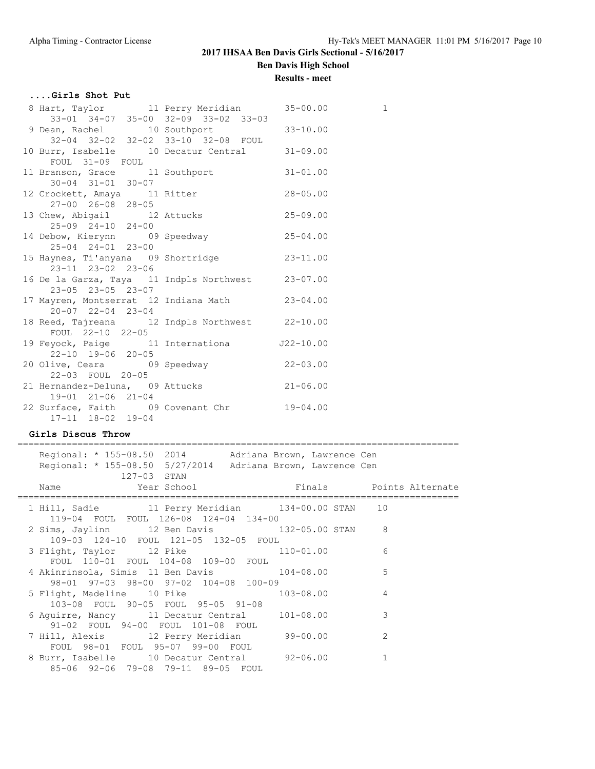**Ben Davis High School**

### **Results - meet**

## **....Girls Shot Put**

| 8 Hart, Taylor 11 Perry Meridian 35-00.00                              |  | 1 |
|------------------------------------------------------------------------|--|---|
| 33-01 34-07 35-00 32-09 33-02 33-03                                    |  |   |
| 9 Dean, Rachel 10 Southport 33-10.00                                   |  |   |
| 32-04 32-02 32-02 33-10 32-08 FOUL                                     |  |   |
| 10 Burr, Isabelle 10 Decatur Central 31-09.00                          |  |   |
| FOUL 31-09 FOUL                                                        |  |   |
| 11 Branson, Grace 11 Southport 31-01.00                                |  |   |
| $30 - 04$ $31 - 01$ $30 - 07$<br>12 Crockett, Amaya 11 Ritter 28-05.00 |  |   |
| 27-00 26-08 28-05                                                      |  |   |
|                                                                        |  |   |
| 13 Chew, Abigail 12 Attucks 25-09.00<br>25-09 24-10 24-00              |  |   |
| 14 Debow, Kierynn 09 Speedway 14 Debow, Kierynn                        |  |   |
| 25-04 24-01 23-00                                                      |  |   |
| 15 Haynes, Ti'anyana 09 Shortridge 33-11.00                            |  |   |
| 23-11 23-02 23-06                                                      |  |   |
| 16 De la Garza, Taya 11 Indpls Northwest 23-07.00                      |  |   |
| 23-05 23-05 23-07                                                      |  |   |
| 17 Mayren, Montserrat 12 Indiana Math 23-04.00                         |  |   |
| $20 - 07$ $22 - 04$ $23 - 04$                                          |  |   |
| 18 Reed, Tajreana 12 Indpls Northwest 22-10.00                         |  |   |
| FOUL 22-10 22-05                                                       |  |   |
| 19 Feyock, Paige 11 Internationa 522-10.00                             |  |   |
| 22-10 19-06 20-05                                                      |  |   |
| 20 Olive, Ceara 69 Speedway 22-03.00                                   |  |   |
| 22-03 FOUL 20-05                                                       |  |   |
| 21 Hernandez-Deluna, 09 Attucks 21-06.00                               |  |   |
| 19-01 21-06 21-04                                                      |  |   |
| 22 Surface, Faith 09 Covenant Chr 19-04.00                             |  |   |
| 17-11 18-02 19-04                                                      |  |   |

### **Girls Discus Throw**

=================================================================================

|  |             | Regional: * 155-08.50 2014 Adriana Brown, Lawrence Cen                                     |  |                |  |
|--|-------------|--------------------------------------------------------------------------------------------|--|----------------|--|
|  |             | Regional: * 155-08.50 5/27/2014 Adriana Brown, Lawrence Cen                                |  |                |  |
|  | 127-03 STAN |                                                                                            |  |                |  |
|  |             |                                                                                            |  |                |  |
|  |             | 1 Hill, Sadie 11 Perry Meridian 134-00.00 STAN 10<br>119-04 FOUL FOUL 126-08 124-04 134-00 |  |                |  |
|  |             | 2 Sims, Jaylinn 12 Ben Davis 132-05.00 STAN 8                                              |  |                |  |
|  |             | 109-03 124-10 FOUL 121-05 132-05 FOUL                                                      |  |                |  |
|  |             | 3 Flight, Taylor 12 Pike 110-01.00                                                         |  | 6              |  |
|  |             | FOUL 110-01 FOUL 104-08 109-00 FOUL                                                        |  |                |  |
|  |             | 4 Akinrinsola, Simis 11 Ben Davis 104-08.00                                                |  | 5              |  |
|  |             | 98-01 97-03 98-00 97-02 104-08 100-09                                                      |  |                |  |
|  |             | 5 Flight, Madeline 10 Pike 103-08.00                                                       |  | $\overline{4}$ |  |
|  |             | 103-08 FOUL 90-05 FOUL 95-05 91-08                                                         |  |                |  |
|  |             | 6 Aguirre, Nancy 11 Decatur Central 101-08.00                                              |  | 3              |  |
|  |             | 91-02 FOUL 94-00 FOUL 101-08 FOUL                                                          |  |                |  |
|  |             | 7 Hill, Alexis 12 Perry Meridian 99-00.00                                                  |  | $\mathcal{L}$  |  |
|  |             | FOUL 98-01 FOUL 95-07 99-00 FOUL                                                           |  |                |  |
|  |             | 8 Burr, Isabelle 10 Decatur Central 92-06.00                                               |  | 1              |  |
|  |             | 85-06 92-06 79-08 79-11 89-05 FOUL                                                         |  |                |  |